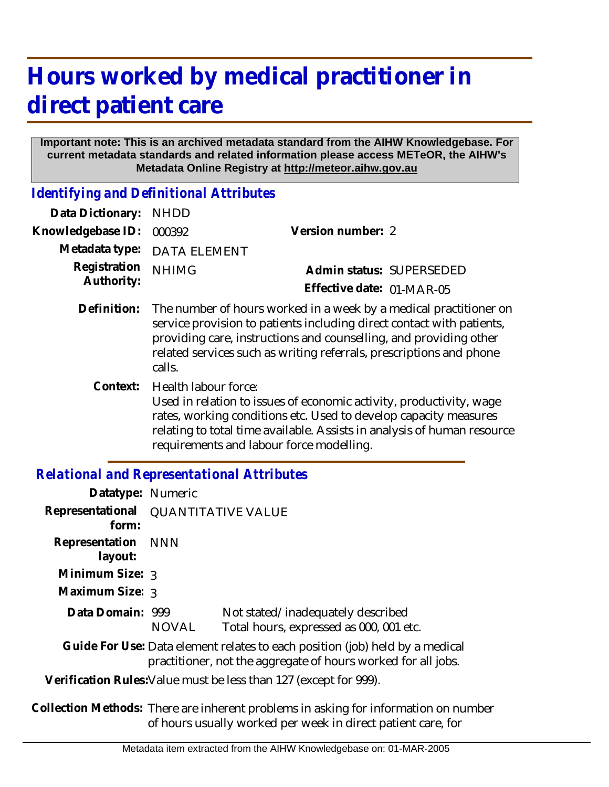## **Hours worked by medical practitioner in direct patient care**

## **Important note: This is an archived metadata standard from the AIHW Knowledgebase. For current metadata standards and related information please access METeOR, the AIHW's Metadata Online Registry at http://meteor.aihw.gov.au**

*Identifying and Definitional Attributes*

| Data Dictionary:           | <b>NHDD</b>                                                                                                                                                                                                                                                                                      |                           |  |
|----------------------------|--------------------------------------------------------------------------------------------------------------------------------------------------------------------------------------------------------------------------------------------------------------------------------------------------|---------------------------|--|
| Knowledgebase ID:          | 000392                                                                                                                                                                                                                                                                                           | Version number: 2         |  |
| Metadata type:             | <b>DATA ELEMENT</b>                                                                                                                                                                                                                                                                              |                           |  |
| Registration<br>Authority: | <b>NHIMG</b>                                                                                                                                                                                                                                                                                     | Admin status: SUPERSEDED  |  |
|                            |                                                                                                                                                                                                                                                                                                  | Effective date: 01-MAR-05 |  |
| Definition:                | The number of hours worked in a week by a medical practitioner on<br>service provision to patients including direct contact with patients,<br>providing care, instructions and counselling, and providing other<br>related services such as writing referrals, prescriptions and phone<br>calls. |                           |  |
| Context:                   | Health labour force:<br>Used in relation to issues of economic activity, productivity, wage<br>rates, working conditions etc. Used to develop capacity measures<br>relating to total time available. Assists in analysis of human resource<br>requirements and labour force modelling.           |                           |  |

## *Relational and Representational Attributes*

| Datatype: Numeric                                                                                                                             |                           |                                                                              |  |  |
|-----------------------------------------------------------------------------------------------------------------------------------------------|---------------------------|------------------------------------------------------------------------------|--|--|
| Representational<br>form:                                                                                                                     | <b>QUANTITATIVE VALUE</b> |                                                                              |  |  |
| Representation NNN<br>layout:                                                                                                                 |                           |                                                                              |  |  |
| Minimum Size: 3                                                                                                                               |                           |                                                                              |  |  |
| Maximum Size: 3                                                                                                                               |                           |                                                                              |  |  |
| Data Domain: 999                                                                                                                              | <b>NOVAL</b>              | Not stated/inadequately described<br>Total hours, expressed as 000, 001 etc. |  |  |
| Guide For Use: Data element relates to each position (job) held by a medical<br>practitioner, not the aggregate of hours worked for all jobs. |                           |                                                                              |  |  |
| Verification Rules: Value must be less than 127 (except for 999).                                                                             |                           |                                                                              |  |  |

Collection Methods: There are inherent problems in asking for information on number of hours usually worked per week in direct patient care, for